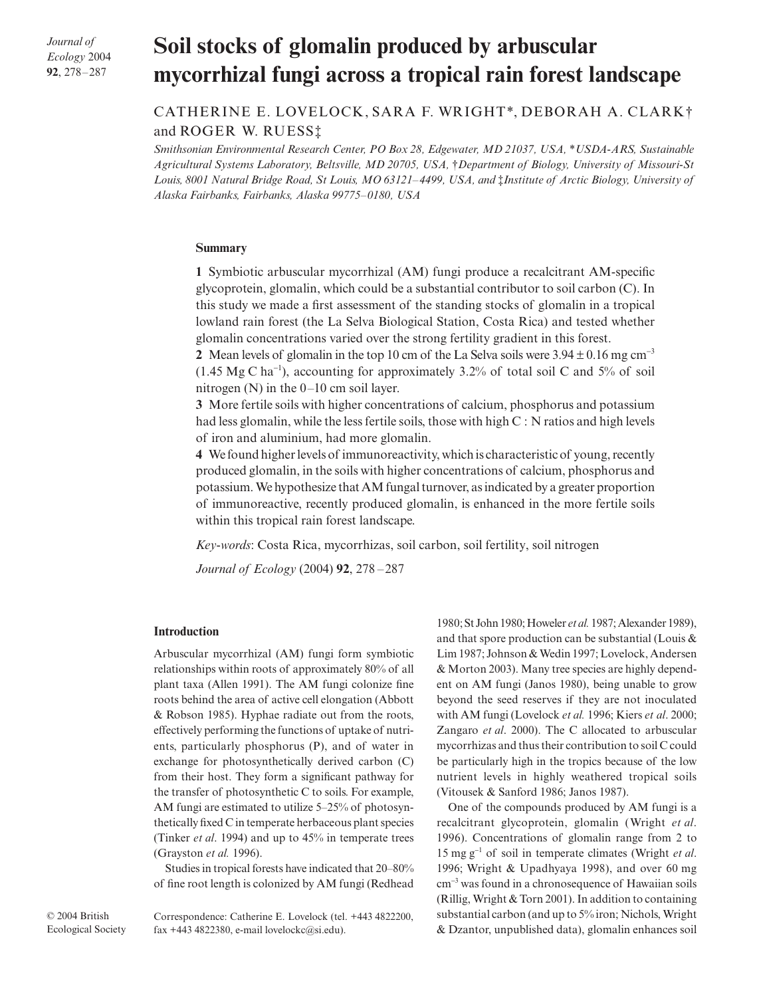*Journal of Ecology* 2004 **92**, 278–287

# **Soil stocks of glomalin produced by arbuscular mycorrhizal fungi across a tropical rain forest landscape**

# CATHERINE E. LOVELOCK, SARA F. WRIGHT\*, DEBORAH A. CLARK† and ROGER W. RUESS‡

*Smithsonian Environmental Research Center, PO Box 28, Edgewater, MD 21037, USA,* \**USDA-ARS, Sustainable Agricultural Systems Laboratory, Beltsville, MD 20705, USA,* †*Department of Biology, University of Missouri-St Louis, 8001 Natural Bridge Road, St Louis, MO 63121–4499, USA, and* ‡*Institute of Arctic Biology, University of Alaska Fairbanks, Fairbanks, Alaska 99775–0180, USA* 

#### **Summary**

**1** Symbiotic arbuscular mycorrhizal (AM) fungi produce a recalcitrant AM-specific glycoprotein, glomalin, which could be a substantial contributor to soil carbon (C). In this study we made a first assessment of the standing stocks of glomalin in a tropical lowland rain forest (the La Selva Biological Station, Costa Rica) and tested whether glomalin concentrations varied over the strong fertility gradient in this forest.

**2** Mean levels of glomalin in the top 10 cm of the La Selva soils were 3.94 ± 0.16 mg cm<sup>−</sup><sup>3</sup> (1.45 Mg C ha<sup>−</sup><sup>1</sup> ), accounting for approximately 3.2% of total soil C and 5% of soil nitrogen (N) in the  $0-10$  cm soil layer.

**3** More fertile soils with higher concentrations of calcium, phosphorus and potassium had less glomalin, while the less fertile soils, those with high  $C: N$  ratios and high levels of iron and aluminium, had more glomalin.

**4** We found higher levels of immunoreactivity, which is characteristic of young, recently produced glomalin, in the soils with higher concentrations of calcium, phosphorus and potassium. We hypothesize that AM fungal turnover, as indicated by a greater proportion of immunoreactive, recently produced glomalin, is enhanced in the more fertile soils within this tropical rain forest landscape.

*Key-words*: Costa Rica, mycorrhizas, soil carbon, soil fertility, soil nitrogen

*Journal of Ecology* (2004) **92**, 278 –287

# **Introduction**

Arbuscular mycorrhizal (AM) fungi form symbiotic relationships within roots of approximately 80% of all plant taxa (Allen 1991). The AM fungi colonize fine roots behind the area of active cell elongation (Abbott & Robson 1985). Hyphae radiate out from the roots, effectively performing the functions of uptake of nutrients, particularly phosphorus (P), and of water in exchange for photosynthetically derived carbon (C) from their host. They form a significant pathway for the transfer of photosynthetic C to soils. For example, AM fungi are estimated to utilize 5–25% of photosynthetically fixed C in temperate herbaceous plant species (Tinker *et al*. 1994) and up to 45% in temperate trees (Grayston *et al.* 1996).

Studies in tropical forests have indicated that 20–80% of fine root length is colonized by AM fungi (Redhead

Correspondence: Catherine E. Lovelock (tel. +443 4822200, fax +443 4822380, e-mail lovelockc@si.edu).

1980; St John 1980; Howeler *et al.* 1987; Alexander 1989), and that spore production can be substantial (Louis & Lim 1987; Johnson & Wedin 1997; Lovelock, Andersen & Morton 2003). Many tree species are highly dependent on AM fungi (Janos 1980), being unable to grow beyond the seed reserves if they are not inoculated with AM fungi (Lovelock *et al.* 1996; Kiers *et al*. 2000; Zangaro *et al*. 2000). The C allocated to arbuscular mycorrhizas and thus their contribution to soil C could be particularly high in the tropics because of the low nutrient levels in highly weathered tropical soils (Vitousek & Sanford 1986; Janos 1987).

One of the compounds produced by AM fungi is a recalcitrant glycoprotein, glomalin (Wright *et al*. 1996). Concentrations of glomalin range from 2 to 15 mg g<sup>−</sup><sup>1</sup> of soil in temperate climates (Wright *et al*. 1996; Wright & Upadhyaya 1998), and over 60 mg cm<sup>−</sup><sup>3</sup> was found in a chronosequence of Hawaiian soils (Rillig, Wright & Torn 2001). In addition to containing substantial carbon (and up to 5% iron; Nichols, Wright & Dzantor, unpublished data), glomalin enhances soil

© 2004 British Ecological Society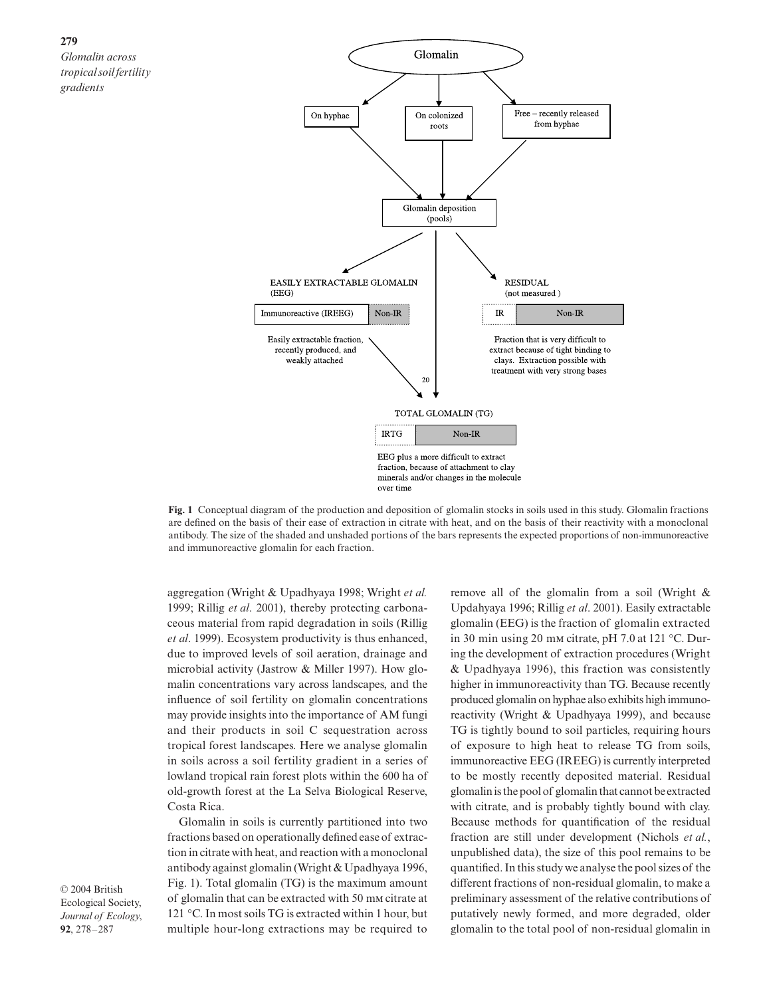

**Fig. 1** Conceptual diagram of the production and deposition of glomalin stocks in soils used in this study. Glomalin fractions are defined on the basis of their ease of extraction in citrate with heat, and on the basis of their reactivity with a monoclonal antibody. The size of the shaded and unshaded portions of the bars represents the expected proportions of non-immunoreactive and immunoreactive glomalin for each fraction.

aggregation (Wright & Upadhyaya 1998; Wright *et al.* 1999; Rillig *et al*. 2001), thereby protecting carbonaceous material from rapid degradation in soils (Rillig *et al*. 1999). Ecosystem productivity is thus enhanced, due to improved levels of soil aeration, drainage and microbial activity (Jastrow & Miller 1997). How glomalin concentrations vary across landscapes, and the influence of soil fertility on glomalin concentrations may provide insights into the importance of AM fungi and their products in soil C sequestration across tropical forest landscapes. Here we analyse glomalin in soils across a soil fertility gradient in a series of lowland tropical rain forest plots within the 600 ha of old-growth forest at the La Selva Biological Reserve, Costa Rica.

Glomalin in soils is currently partitioned into two fractions based on operationally defined ease of extraction in citrate with heat, and reaction with a monoclonal antibody against glomalin (Wright & Upadhyaya 1996, Fig. 1). Total glomalin (TG) is the maximum amount of glomalin that can be extracted with 50 mm citrate at 121 °C.In most soils TG is extracted within 1 hour, but multiple hour-long extractions may be required to

remove all of the glomalin from a soil (Wright & Updahyaya 1996; Rillig *et al*. 2001). Easily extractable glomalin (EEG) is the fraction of glomalin extracted in 30 min using 20 mm citrate, pH 7.0 at 121  $^{\circ}$ C. During the development of extraction procedures (Wright & Upadhyaya 1996), this fraction was consistently higher in immunoreactivity than TG. Because recently produced glomalin on hyphae also exhibits high immunoreactivity (Wright & Upadhyaya 1999), and because TG is tightly bound to soil particles, requiring hours of exposure to high heat to release TG from soils, immunoreactive EEG (IREEG) is currently interpreted to be mostly recently deposited material. Residual glomalin is the pool of glomalin that cannot be extracted with citrate, and is probably tightly bound with clay. Because methods for quantification of the residual fraction are still under development (Nichols *et al.*, unpublished data), the size of this pool remains to be quantified. In this study we analyse the pool sizes of the different fractions of non-residual glomalin, to make a preliminary assessment of the relative contributions of putatively newly formed, and more degraded, older glomalin to the total pool of non-residual glomalin in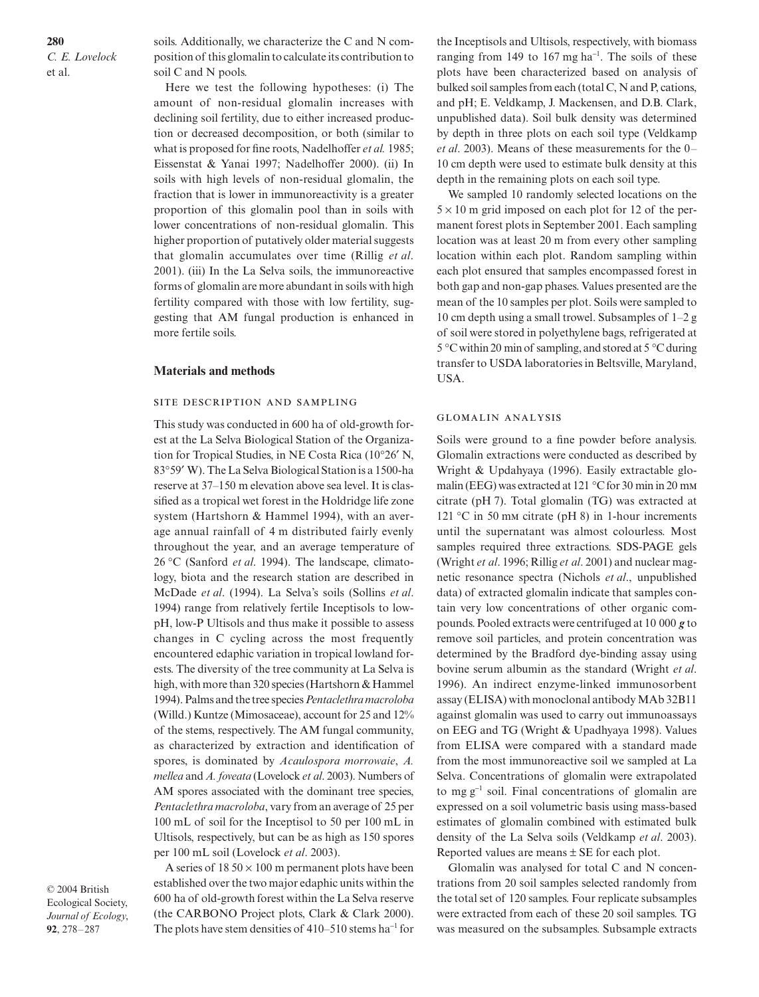soils. Additionally, we characterize the C and N composition of this glomalin to calculate its contribution to soil C and N pools.

Here we test the following hypotheses: (i) The amount of non-residual glomalin increases with declining soil fertility, due to either increased production or decreased decomposition, or both (similar to what is proposed for fine roots, Nadelhoffer *et al.* 1985; Eissenstat & Yanai 1997; Nadelhoffer 2000). (ii) In soils with high levels of non-residual glomalin, the fraction that is lower in immunoreactivity is a greater proportion of this glomalin pool than in soils with lower concentrations of non-residual glomalin. This higher proportion of putatively older material suggests that glomalin accumulates over time (Rillig *et al*. 2001). (iii) In the La Selva soils, the immunoreactive forms of glomalin are more abundant in soils with high fertility compared with those with low fertility, suggesting that AM fungal production is enhanced in more fertile soils.

#### **Materials and methods**

## SITE DESCRIPTION AND SAMPLING

This study was conducted in 600 ha of old-growth forest at the La Selva Biological Station of the Organization for Tropical Studies, in NE Costa Rica (10°26′ N, 83°59′ W). The La Selva Biological Station is a 1500-ha reserve at 37–150 m elevation above sea level. It is classified as a tropical wet forest in the Holdridge life zone system (Hartshorn & Hammel 1994), with an average annual rainfall of 4 m distributed fairly evenly throughout the year, and an average temperature of 26 °C (Sanford *et al*. 1994). The landscape, climatology, biota and the research station are described in McDade *et al*. (1994). La Selva's soils (Sollins *et al*. 1994) range from relatively fertile Inceptisols to lowpH, low-P Ultisols and thus make it possible to assess changes in C cycling across the most frequently encountered edaphic variation in tropical lowland forests. The diversity of the tree community at La Selva is high, with more than 320 species (Hartshorn & Hammel 1994). Palms and the tree species *Pentaclethra macroloba* (Willd.) Kuntze (Mimosaceae), account for 25 and 12% of the stems, respectively. The AM fungal community, as characterized by extraction and identification of spores, is dominated by *Acaulospora morrowaie*, *A. mellea* and *A. foveata* (Lovelock *et al*. 2003). Numbers of AM spores associated with the dominant tree species, *Pentaclethra macroloba*, vary from an average of 25 per 100 mL of soil for the Inceptisol to 50 per 100 mL in Ultisols, respectively, but can be as high as 150 spores per 100 mL soil (Lovelock *et al*. 2003).

© 2004 British Ecological Society, *Journal of Ecology*, **92**, 278–287

A series of  $18\,50 \times 100$  m permanent plots have been established over the two major edaphic units within the 600 ha of old-growth forest within the La Selva reserve (the CARBONO Project plots, Clark & Clark 2000). The plots have stem densities of 410–510 stems ha<sup>-1</sup> for

the Inceptisols and Ultisols, respectively, with biomass ranging from 149 to 167 mg ha<sup>-1</sup>. The soils of these plots have been characterized based on analysis of bulked soil samples from each (total C, N and P, cations, and pH; E. Veldkamp, J. Mackensen, and D.B. Clark, unpublished data). Soil bulk density was determined by depth in three plots on each soil type (Veldkamp *et al*. 2003). Means of these measurements for the 0– 10 cm depth were used to estimate bulk density at this depth in the remaining plots on each soil type.

We sampled 10 randomly selected locations on the  $5 \times 10$  m grid imposed on each plot for 12 of the permanent forest plots in September 2001. Each sampling location was at least 20 m from every other sampling location within each plot. Random sampling within each plot ensured that samples encompassed forest in both gap and non-gap phases. Values presented are the mean of the 10 samples per plot. Soils were sampled to 10 cm depth using a small trowel. Subsamples of 1–2 g of soil were stored in polyethylene bags, refrigerated at 5 °C within 20 min of sampling, and stored at 5 °C during transfer to USDA laboratories in Beltsville, Maryland, USA.

#### **GLOMALIN ANALYSIS**

Soils were ground to a fine powder before analysis. Glomalin extractions were conducted as described by Wright & Updahyaya (1996). Easily extractable glomalin (EEG) was extracted at 121 °C for 30 min in 20 mm citrate (pH 7). Total glomalin (TG) was extracted at 121 °C in 50 mm citrate (pH 8) in 1-hour increments until the supernatant was almost colourless. Most samples required three extractions. SDS-PAGE gels (Wright *et al*. 1996; Rillig *et al*. 2001) and nuclear magnetic resonance spectra (Nichols *et al*., unpublished data) of extracted glomalin indicate that samples contain very low concentrations of other organic compounds. Pooled extracts were centrifuged at 10 000 *g* to remove soil particles, and protein concentration was determined by the Bradford dye-binding assay using bovine serum albumin as the standard (Wright *et al*. 1996). An indirect enzyme-linked immunosorbent assay (ELISA) with monoclonal antibody MAb 32B11 against glomalin was used to carry out immunoassays on EEG and TG (Wright & Upadhyaya 1998). Values from ELISA were compared with a standard made from the most immunoreactive soil we sampled at La Selva. Concentrations of glomalin were extrapolated to mg  $g^{-1}$  soil. Final concentrations of glomalin are expressed on a soil volumetric basis using mass-based estimates of glomalin combined with estimated bulk density of the La Selva soils (Veldkamp *et al*. 2003). Reported values are means  $\pm$  SE for each plot.

Glomalin was analysed for total C and N concentrations from 20 soil samples selected randomly from the total set of 120 samples. Four replicate subsamples were extracted from each of these 20 soil samples. TG was measured on the subsamples. Subsample extracts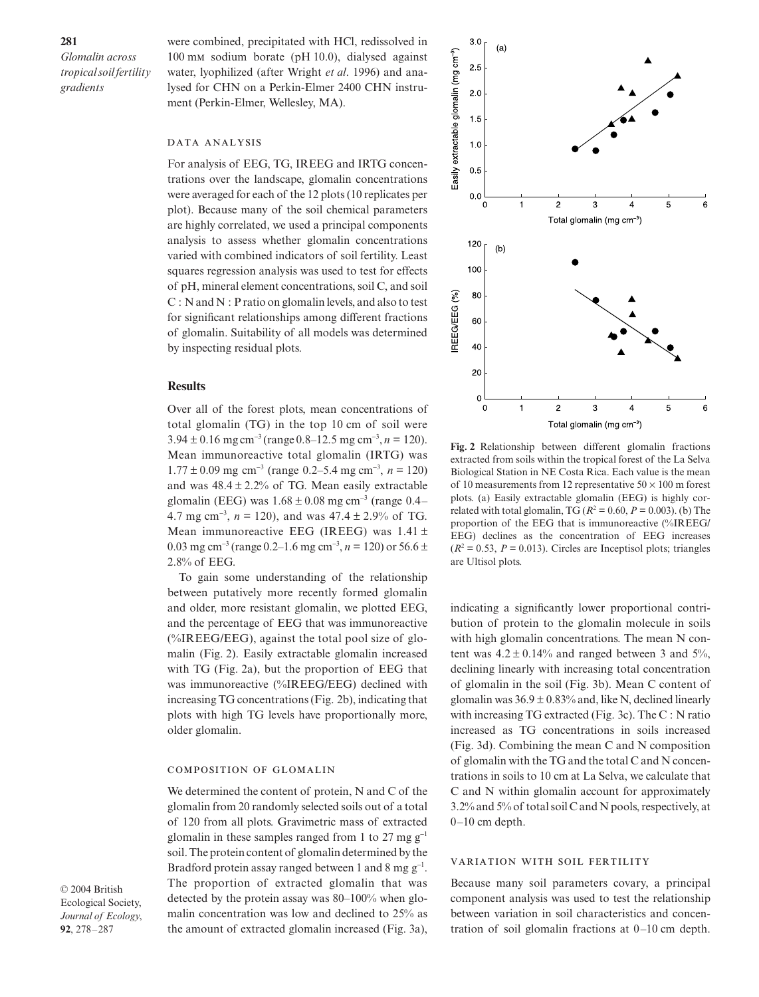were combined, precipitated with HCl, redissolved in 100 mm sodium borate (pH 10.0), dialysed against water, lyophilized (after Wright *et al*. 1996) and analysed for CHN on a Perkin-Elmer 2400 CHN instrument (Perkin-Elmer, Wellesley, MA).

#### DATA ANALYSIS

For analysis of EEG, TG, IREEG and IRTG concentrations over the landscape, glomalin concentrations were averaged for each of the 12 plots (10 replicates per plot). Because many of the soil chemical parameters are highly correlated, we used a principal components analysis to assess whether glomalin concentrations varied with combined indicators of soil fertility. Least squares regression analysis was used to test for effects of pH, mineral element concentrations, soil C, and soil C : N and N : P ratio on glomalin levels, and also to test for significant relationships among different fractions of glomalin. Suitability of all models was determined by inspecting residual plots.

# **Results**

Over all of the forest plots, mean concentrations of total glomalin (TG) in the top 10 cm of soil were  $3.94 \pm 0.16$  mg cm<sup>-3</sup> (range 0.8–12.5 mg cm<sup>-3</sup>, *n* = 120). Mean immunoreactive total glomalin (IRTG) was 1.77 ± 0.09 mg cm<sup>−</sup><sup>3</sup> (range 0.2–5.4 mg cm<sup>−</sup><sup>3</sup> , *n* = 120) and was  $48.4 \pm 2.2\%$  of TG. Mean easily extractable glomalin (EEG) was  $1.68 \pm 0.08$  mg cm<sup>-3</sup> (range 0.4– 4.7 mg cm<sup>−</sup><sup>3</sup> , *n* = 120), and was 47.4 ± 2.9% of TG. Mean immunoreactive EEG (IREEG) was  $1.41 \pm$ 0.03 mg cm<sup>−</sup><sup>3</sup> (range 0.2–1.6 mg cm<sup>−</sup><sup>3</sup> , *n* = 120) or 56.6 ± 2.8% of EEG.

To gain some understanding of the relationship between putatively more recently formed glomalin and older, more resistant glomalin, we plotted EEG, and the percentage of EEG that was immunoreactive (%IREEG/EEG), against the total pool size of glomalin (Fig. 2). Easily extractable glomalin increased with TG (Fig. 2a), but the proportion of EEG that was immunoreactive (%IREEG/EEG) declined with increasing TG concentrations (Fig. 2b), indicating that plots with high TG levels have proportionally more, older glomalin.

## COMPOSITION OF GLOMALIN

We determined the content of protein, N and C of the glomalin from 20 randomly selected soils out of a total of 120 from all plots. Gravimetric mass of extracted glomalin in these samples ranged from 1 to 27 mg  $g^{-1}$ soil. The protein content of glomalin determined by the Bradford protein assay ranged between 1 and 8 mg  $g^{-1}$ . The proportion of extracted glomalin that was detected by the protein assay was 80–100% when glomalin concentration was low and declined to 25% as the amount of extracted glomalin increased (Fig. 3a),

© 2004 British Ecological Society, *Journal of Ecology*, **92**, 278–287



**Fig. 2** Relationship between different glomalin fractions extracted from soils within the tropical forest of the La Selva Biological Station in NE Costa Rica. Each value is the mean of 10 measurements from 12 representative  $50 \times 100$  m forest plots. (a) Easily extractable glomalin (EEG) is highly correlated with total glomalin, TG ( $R^2 = 0.60$ ,  $P = 0.003$ ). (b) The proportion of the EEG that is immunoreactive (%IREEG/ EEG) declines as the concentration of EEG increases  $(R<sup>2</sup> = 0.53, P = 0.013)$ . Circles are Inceptisol plots; triangles are Ultisol plots.

indicating a significantly lower proportional contribution of protein to the glomalin molecule in soils with high glomalin concentrations. The mean N content was  $4.2 \pm 0.14\%$  and ranged between 3 and 5%, declining linearly with increasing total concentration of glomalin in the soil (Fig. 3b). Mean C content of glomalin was  $36.9 \pm 0.83\%$  and, like N, declined linearly with increasing TG extracted (Fig. 3c). The C : N ratio increased as TG concentrations in soils increased (Fig. 3d). Combining the mean C and N composition of glomalin with the TG and the total C and N concentrations in soils to 10 cm at La Selva, we calculate that C and N within glomalin account for approximately 3.2% and 5% of total soil C and N pools, respectively, at 0–10 cm depth.

#### VARIATION WITH SOIL FERTILITY

Because many soil parameters covary, a principal component analysis was used to test the relationship between variation in soil characteristics and concentration of soil glomalin fractions at 0–10 cm depth.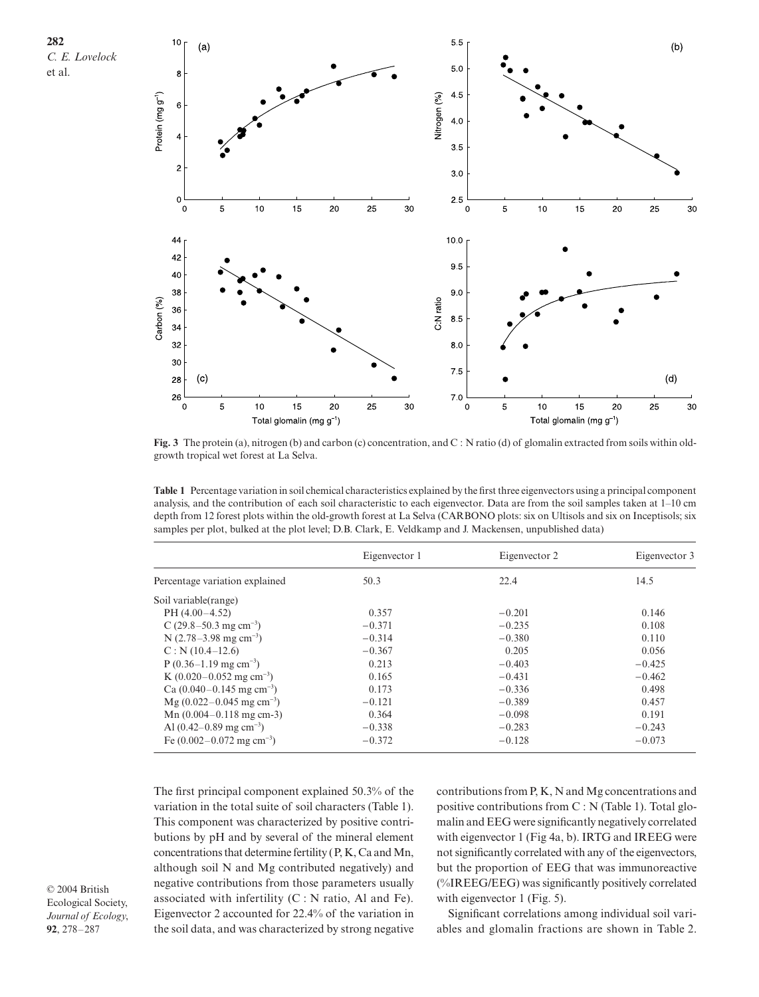



**Fig. 3** The protein (a), nitrogen (b) and carbon (c) concentration, and C : N ratio (d) of glomalin extracted from soils within oldgrowth tropical wet forest at La Selva.

**Table 1** Percentage variation in soil chemical characteristics explained by the first three eigenvectors using a principal component analysis, and the contribution of each soil characteristic to each eigenvector. Data are from the soil samples taken at 1–10 cm depth from 12 forest plots within the old-growth forest at La Selva (CARBONO plots: six on Ultisols and six on Inceptisols; six samples per plot, bulked at the plot level; D.B. Clark, E. Veldkamp and J. Mackensen, unpublished data)

|                                                        | Eigenvector 1 | Eigenvector 2 | Eigenvector 3 |  |
|--------------------------------------------------------|---------------|---------------|---------------|--|
| Percentage variation explained                         | 50.3          | 22.4          | 14.5          |  |
| Soil variable(range)                                   |               |               |               |  |
| PH $(4.00-4.52)$<br>C (29.8–50.3 mg cm <sup>-3</sup> ) | 0.357         | $-0.201$      | 0.146         |  |
|                                                        | $-0.371$      | $-0.235$      | 0.108         |  |
| N $(2.78-3.98$ mg cm <sup>-3</sup> )                   | $-0.314$      | $-0.380$      | 0.110         |  |
| C: N(10.4–12.6)                                        | $-0.367$      | 0.205         | 0.056         |  |
| $P(0.36-1.19$ mg cm <sup>-3</sup> )                    | 0.213         | $-0.403$      | $-0.425$      |  |
| K $(0.020-0.052$ mg cm <sup>-3</sup> )                 | 0.165         | $-0.431$      | $-0.462$      |  |
| Ca $(0.040-0.145 \text{ mg cm}^{-3})$                  | 0.173         | $-0.336$      | 0.498         |  |
| Mg $(0.022 - 0.045$ mg cm <sup>-3</sup> )              | $-0.121$      | $-0.389$      | 0.457         |  |
| Mn $(0.004 - 0.118$ mg cm-3)                           | 0.364         | $-0.098$      | 0.191         |  |
| Al $(0.42-0.89$ mg cm <sup>-3</sup> )                  | $-0.338$      | $-0.283$      | $-0.243$      |  |
| Fe $(0.002 - 0.072$ mg cm <sup>-3</sup> )              | $-0.372$      | $-0.128$      | $-0.073$      |  |

The first principal component explained 50.3% of the variation in the total suite of soil characters (Table 1). This component was characterized by positive contributions by pH and by several of the mineral element concentrations that determine fertility (P, K, Ca and Mn, although soil N and Mg contributed negatively) and negative contributions from those parameters usually associated with infertility (C : N ratio, Al and Fe). Eigenvector 2 accounted for 22.4% of the variation in the soil data, and was characterized by strong negative contributions from P, K, N and Mg concentrations and positive contributions from C : N (Table 1). Total glomalin and EEG were significantly negatively correlated with eigenvector 1 (Fig 4a, b). IRTG and IREEG were not significantly correlated with any of the eigenvectors, but the proportion of EEG that was immunoreactive (%IREEG/EEG) was significantly positively correlated with eigenvector 1 (Fig. 5).

Significant correlations among individual soil variables and glomalin fractions are shown in Table 2.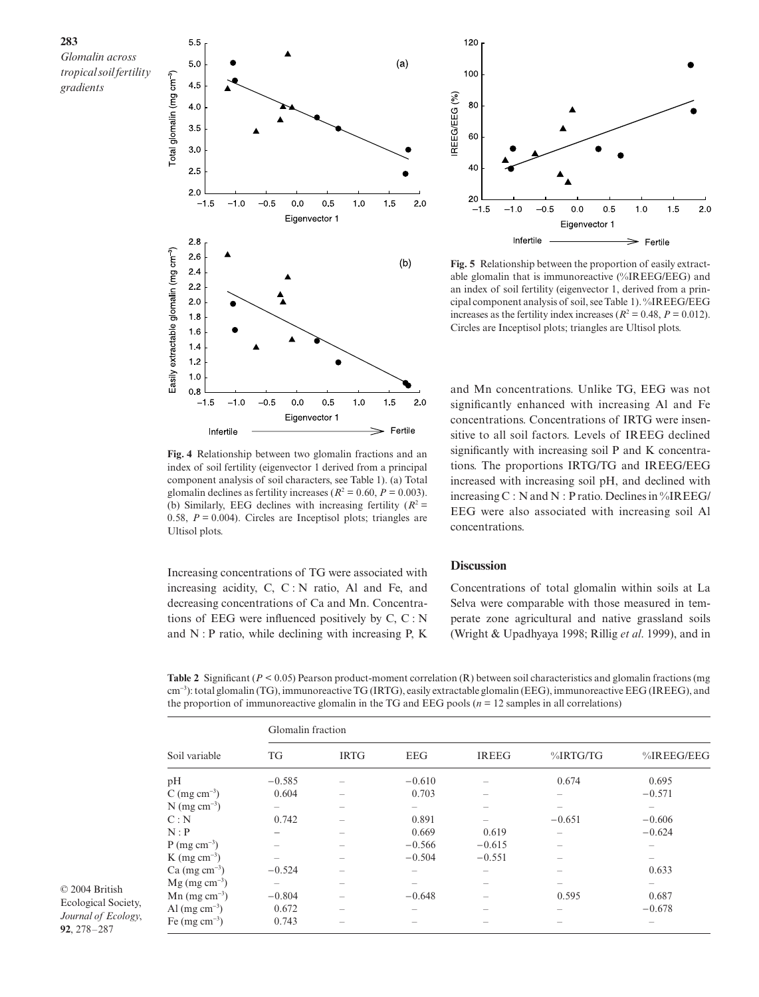



**Fig. 4** Relationship between two glomalin fractions and an index of soil fertility (eigenvector 1 derived from a principal component analysis of soil characters, see Table 1). (a) Total glomalin declines as fertility increases ( $R^2 = 0.60$ ,  $P = 0.003$ ). (b) Similarly, EEG declines with increasing fertility  $(R^2 =$ 0.58, *P* = 0.004). Circles are Inceptisol plots; triangles are Ultisol plots.

Increasing concentrations of TG were associated with increasing acidity,  $C, C, N$  ratio, Al and Fe, and decreasing concentrations of Ca and Mn. Concentrations of EEG were influenced positively by C, C : N and  $N : P$  ratio, while declining with increasing P, K



**Fig. 5** Relationship between the proportion of easily extractable glomalin that is immunoreactive (%IREEG/EEG) and an index of soil fertility (eigenvector 1, derived from a principal component analysis of soil, see Table 1). %IREEG/EEG increases as the fertility index increases ( $R^2 = 0.48$ ,  $P = 0.012$ ). Circles are Inceptisol plots; triangles are Ultisol plots.

and Mn concentrations. Unlike TG, EEG was not significantly enhanced with increasing Al and Fe concentrations. Concentrations of IRTG were insensitive to all soil factors. Levels of IREEG declined significantly with increasing soil P and K concentrations. The proportions IRTG/TG and IREEG/EEG increased with increasing soil pH, and declined with increasing C : N and N : P ratio. Declines in %IREEG/ EEG were also associated with increasing soil Al concentrations.

# **Discussion**

Concentrations of total glomalin within soils at La Selva were comparable with those measured in temperate zone agricultural and native grassland soils (Wright & Upadhyaya 1998; Rillig *et al*. 1999), and in

**Table 2** Significant (*P <* 0.05) Pearson product-moment correlation (R) between soil characteristics and glomalin fractions (mg cm<sup>−</sup><sup>3</sup> ): total glomalin (TG), immunoreactive TG (IRTG), easily extractable glomalin (EEG), immunoreactive EEG (IREEG), and the proportion of immunoreactive glomalin in the TG and EEG pools  $(n = 12)$  samples in all correlations)

| Soil variable               | Glomalin fraction               |             |            |              |                          |                                 |  |  |
|-----------------------------|---------------------------------|-------------|------------|--------------|--------------------------|---------------------------------|--|--|
|                             | TG                              | <b>IRTG</b> | <b>EEG</b> | <b>IREEG</b> | $\%$ IRTG/TG             | $\%$ IREEG/EEG                  |  |  |
| pH                          | $-0.585$                        |             | $-0.610$   |              | 0.674                    | 0.695                           |  |  |
| C (mg $\text{cm}^{-3}$ )    | 0.604                           |             | 0.703      |              |                          | $-0.571$                        |  |  |
| $N$ (mg cm <sup>-3</sup> )  |                                 |             |            |              |                          |                                 |  |  |
| C: N                        | 0.742                           |             | 0.891      |              | $-0.651$                 | $-0.606$                        |  |  |
| N : P                       |                                 |             | 0.669      | 0.619        |                          | $-0.624$                        |  |  |
| $P$ (mg cm <sup>-3</sup> )  |                                 |             | $-0.566$   | $-0.615$     |                          |                                 |  |  |
| $K$ (mg cm <sup>-3</sup> )  |                                 |             | $-0.504$   | $-0.551$     |                          |                                 |  |  |
| $Ca$ (mg cm <sup>-3</sup> ) | $-0.524$                        |             |            |              |                          | 0.633                           |  |  |
| $Mg$ (mg cm <sup>-3</sup> ) | $\hspace{0.1mm}-\hspace{0.1mm}$ |             |            |              | -                        | $\hspace{0.1mm}-\hspace{0.1mm}$ |  |  |
| $Mn$ (mg cm <sup>-3</sup> ) | $-0.804$                        |             | $-0.648$   |              | 0.595                    | 0.687                           |  |  |
| Al $(mg cm^{-3})$           | 0.672                           |             |            |              | $\overline{\phantom{a}}$ | $-0.678$                        |  |  |
| Fe (mg $\text{cm}^{-3}$ )   | 0.743                           |             |            |              |                          |                                 |  |  |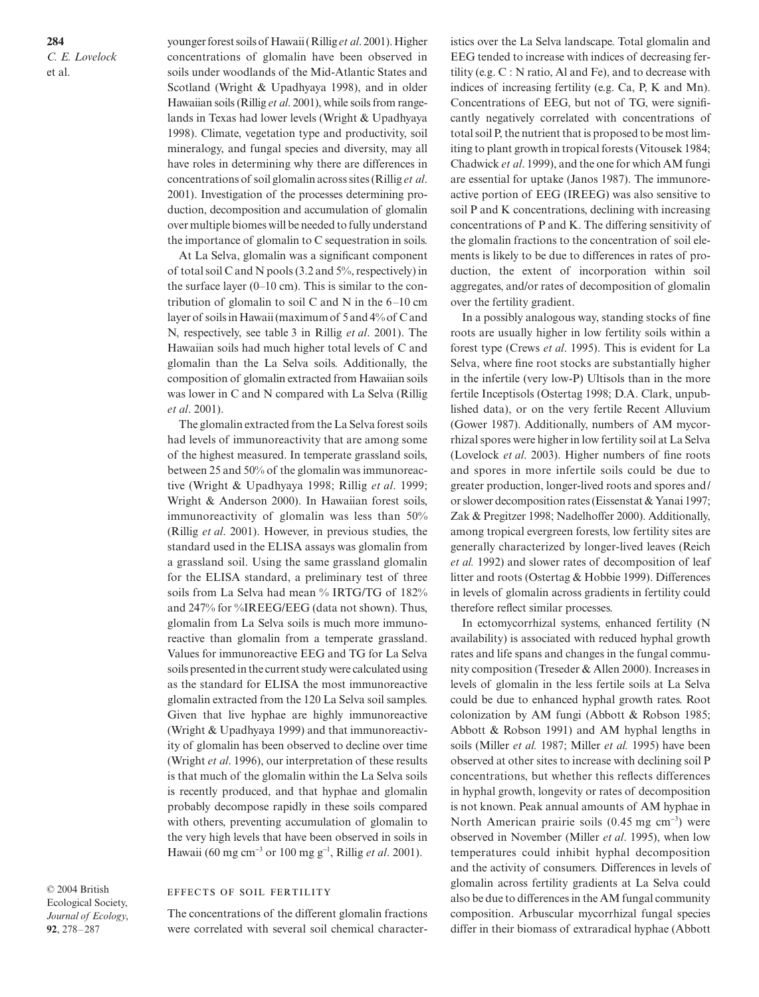**284** *C. E. Lovelock*  et al.

younger forest soils of Hawaii (Rillig *et al*. 2001). Higher concentrations of glomalin have been observed in soils under woodlands of the Mid-Atlantic States and Scotland (Wright & Upadhyaya 1998), and in older Hawaiian soils (Rillig *et al*. 2001), while soils from rangelands in Texas had lower levels (Wright & Upadhyaya 1998). Climate, vegetation type and productivity, soil mineralogy, and fungal species and diversity, may all have roles in determining why there are differences in concentrations of soil glomalin across sites (Rillig *et al*. 2001). Investigation of the processes determining production, decomposition and accumulation of glomalin over multiple biomes will be needed to fully understand the importance of glomalin to C sequestration in soils.

At La Selva, glomalin was a significant component of total soil C and N pools (3.2 and 5%, respectively) in the surface layer (0–10 cm). This is similar to the contribution of glomalin to soil C and N in the  $6-10$  cm layer of soils in Hawaii (maximum of 5 and 4% of C and N, respectively, see table 3 in Rillig *et al*. 2001). The Hawaiian soils had much higher total levels of C and glomalin than the La Selva soils. Additionally, the composition of glomalin extracted from Hawaiian soils was lower in C and N compared with La Selva (Rillig *et al*. 2001).

The glomalin extracted from the La Selva forest soils had levels of immunoreactivity that are among some of the highest measured. In temperate grassland soils, between 25 and 50% of the glomalin was immunoreactive (Wright & Upadhyaya 1998; Rillig *et al*. 1999; Wright & Anderson 2000). In Hawaiian forest soils, immunoreactivity of glomalin was less than 50% (Rillig *et al*. 2001). However, in previous studies, the standard used in the ELISA assays was glomalin from a grassland soil. Using the same grassland glomalin for the ELISA standard, a preliminary test of three soils from La Selva had mean % IRTG/TG of 182% and 247% for %IREEG/EEG (data not shown). Thus, glomalin from La Selva soils is much more immunoreactive than glomalin from a temperate grassland. Values for immunoreactive EEG and TG for La Selva soils presented in the current study were calculated using as the standard for ELISA the most immunoreactive glomalin extracted from the 120 La Selva soil samples. Given that live hyphae are highly immunoreactive (Wright & Upadhyaya 1999) and that immunoreactivity of glomalin has been observed to decline over time (Wright *et al*. 1996), our interpretation of these results is that much of the glomalin within the La Selva soils is recently produced, and that hyphae and glomalin probably decompose rapidly in these soils compared with others, preventing accumulation of glomalin to the very high levels that have been observed in soils in Hawaii (60 mg cm<sup>−</sup><sup>3</sup> or 100 mg g<sup>−</sup><sup>1</sup> , Rillig *et al*. 2001).

© 2004 British Ecological Society, *Journal of Ecology*, **92**, 278–287

# EFFECTS OF SOIL FERTILITY

The concentrations of the different glomalin fractions were correlated with several soil chemical characteristics over the La Selva landscape. Total glomalin and EEG tended to increase with indices of decreasing fertility (e.g.  $C : N$  ratio, Al and Fe), and to decrease with indices of increasing fertility (e.g. Ca, P, K and Mn). Concentrations of EEG, but not of TG, were significantly negatively correlated with concentrations of total soil P, the nutrient that is proposed to be most limiting to plant growth in tropical forests (Vitousek 1984; Chadwick *et al*. 1999), and the one for which AM fungi are essential for uptake (Janos 1987). The immunoreactive portion of EEG (IREEG) was also sensitive to soil P and K concentrations, declining with increasing concentrations of P and K. The differing sensitivity of the glomalin fractions to the concentration of soil elements is likely to be due to differences in rates of production, the extent of incorporation within soil aggregates, and/or rates of decomposition of glomalin over the fertility gradient.

In a possibly analogous way, standing stocks of fine roots are usually higher in low fertility soils within a forest type (Crews *et al*. 1995). This is evident for La Selva, where fine root stocks are substantially higher in the infertile (very low-P) Ultisols than in the more fertile Inceptisols (Ostertag 1998; D.A. Clark, unpublished data), or on the very fertile Recent Alluvium (Gower 1987). Additionally, numbers of AM mycorrhizal spores were higher in low fertility soil at La Selva (Lovelock *et al*. 2003). Higher numbers of fine roots and spores in more infertile soils could be due to greater production, longer-lived roots and spores and/ or slower decomposition rates (Eissenstat & Yanai 1997; Zak & Pregitzer 1998; Nadelhoffer 2000). Additionally, among tropical evergreen forests, low fertility sites are generally characterized by longer-lived leaves (Reich *et al.* 1992) and slower rates of decomposition of leaf litter and roots (Ostertag & Hobbie 1999). Differences in levels of glomalin across gradients in fertility could therefore reflect similar processes.

In ectomycorrhizal systems, enhanced fertility (N availability) is associated with reduced hyphal growth rates and life spans and changes in the fungal community composition (Treseder & Allen 2000). Increases in levels of glomalin in the less fertile soils at La Selva could be due to enhanced hyphal growth rates. Root colonization by AM fungi (Abbott & Robson 1985; Abbott & Robson 1991) and AM hyphal lengths in soils (Miller *et al.* 1987; Miller *et al.* 1995) have been observed at other sites to increase with declining soil P concentrations, but whether this reflects differences in hyphal growth, longevity or rates of decomposition is not known. Peak annual amounts of AM hyphae in North American prairie soils (0.45 mg cm<sup>−</sup><sup>3</sup> ) were observed in November (Miller *et al*. 1995), when low temperatures could inhibit hyphal decomposition and the activity of consumers. Differences in levels of glomalin across fertility gradients at La Selva could also be due to differences in the AM fungal community composition. Arbuscular mycorrhizal fungal species differ in their biomass of extraradical hyphae (Abbott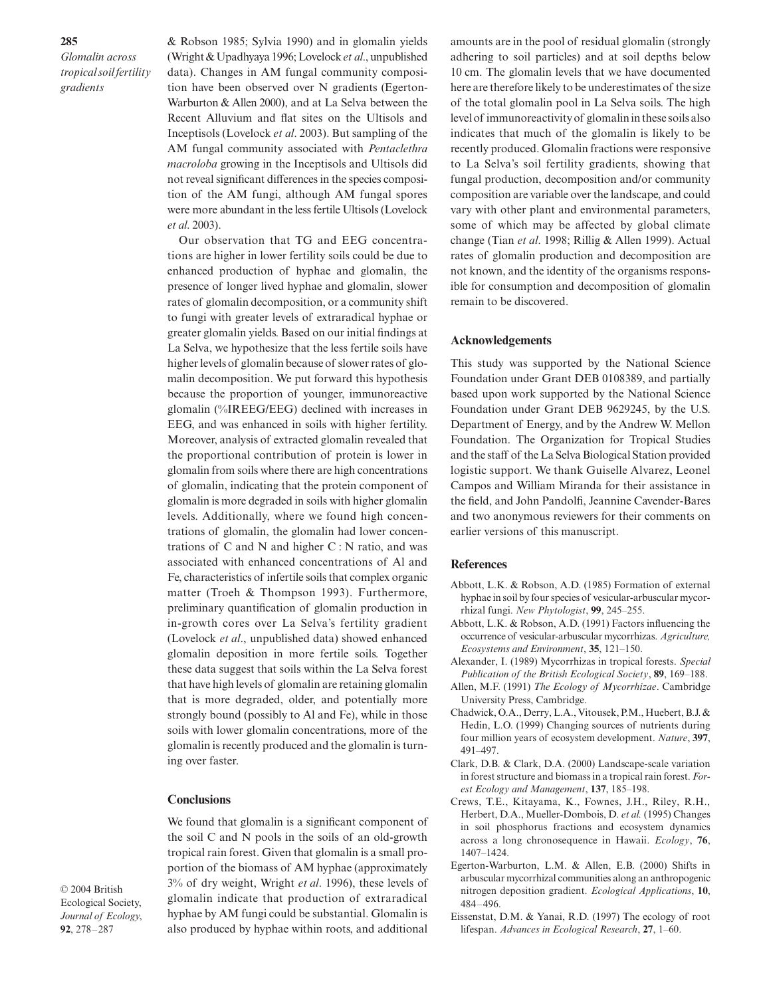& Robson 1985; Sylvia 1990) and in glomalin yields (Wright & Upadhyaya 1996; Lovelock *et al*., unpublished data). Changes in AM fungal community composition have been observed over N gradients (Egerton-Warburton & Allen 2000), and at La Selva between the Recent Alluvium and flat sites on the Ultisols and Inceptisols (Lovelock *et al*. 2003). But sampling of the AM fungal community associated with *Pentaclethra macroloba* growing in the Inceptisols and Ultisols did not reveal significant differences in the species composition of the AM fungi, although AM fungal spores were more abundant in the less fertile Ultisols (Lovelock *et al*. 2003).

Our observation that TG and EEG concentrations are higher in lower fertility soils could be due to enhanced production of hyphae and glomalin, the presence of longer lived hyphae and glomalin, slower rates of glomalin decomposition, or a community shift to fungi with greater levels of extraradical hyphae or greater glomalin yields. Based on our initial findings at La Selva, we hypothesize that the less fertile soils have higher levels of glomalin because of slower rates of glomalin decomposition. We put forward this hypothesis because the proportion of younger, immunoreactive glomalin (%IREEG/EEG) declined with increases in EEG, and was enhanced in soils with higher fertility. Moreover, analysis of extracted glomalin revealed that the proportional contribution of protein is lower in glomalin from soils where there are high concentrations of glomalin, indicating that the protein component of glomalin is more degraded in soils with higher glomalin levels. Additionally, where we found high concentrations of glomalin, the glomalin had lower concentrations of  $C$  and  $N$  and higher  $C : N$  ratio, and was associated with enhanced concentrations of Al and Fe, characteristics of infertile soils that complex organic matter (Troeh & Thompson 1993). Furthermore, preliminary quantification of glomalin production in in-growth cores over La Selva's fertility gradient (Lovelock *et al*., unpublished data) showed enhanced glomalin deposition in more fertile soils. Together these data suggest that soils within the La Selva forest that have high levels of glomalin are retaining glomalin that is more degraded, older, and potentially more strongly bound (possibly to Al and Fe), while in those soils with lower glomalin concentrations, more of the glomalin is recently produced and the glomalin is turning over faster.

# **Conclusions**

We found that glomalin is a significant component of the soil C and N pools in the soils of an old-growth tropical rain forest. Given that glomalin is a small proportion of the biomass of AM hyphae (approximately 3% of dry weight, Wright *et al*. 1996), these levels of glomalin indicate that production of extraradical hyphae by AM fungi could be substantial. Glomalin is also produced by hyphae within roots, and additional

© 2004 British Ecological Society, *Journal of Ecology*, **92**, 278–287

amounts are in the pool of residual glomalin (strongly adhering to soil particles) and at soil depths below 10 cm. The glomalin levels that we have documented here are therefore likely to be underestimates of the size of the total glomalin pool in La Selva soils. The high level of immunoreactivity of glomalin in these soils also indicates that much of the glomalin is likely to be recently produced. Glomalin fractions were responsive to La Selva's soil fertility gradients, showing that fungal production, decomposition and/or community composition are variable over the landscape, and could vary with other plant and environmental parameters, some of which may be affected by global climate change (Tian *et al*. 1998; Rillig & Allen 1999). Actual rates of glomalin production and decomposition are not known, and the identity of the organisms responsible for consumption and decomposition of glomalin remain to be discovered.

#### **Acknowledgements**

This study was supported by the National Science Foundation under Grant DEB 0108389, and partially based upon work supported by the National Science Foundation under Grant DEB 9629245, by the U.S. Department of Energy, and by the Andrew W. Mellon Foundation. The Organization for Tropical Studies and the staff of the La Selva Biological Station provided logistic support. We thank Guiselle Alvarez, Leonel Campos and William Miranda for their assistance in the field, and John Pandolfi, Jeannine Cavender-Bares and two anonymous reviewers for their comments on earlier versions of this manuscript.

# **References**

- Abbott, L.K. & Robson, A.D. (1985) Formation of external hyphae in soil by four species of vesicular-arbuscular mycorrhizal fungi. *New Phytologist*, **99**, 245–255.
- Abbott, L.K. & Robson, A.D. (1991) Factors influencing the occurrence of vesicular-arbuscular mycorrhizas. *Agriculture, Ecosystems and Environment*, **35**, 121–150.
- Alexander, I. (1989) Mycorrhizas in tropical forests. *Special Publication of the British Ecological Society*, **89**, 169–188.
- Allen, M.F. (1991) *The Ecology of Mycorrhizae*. Cambridge University Press, Cambridge.
- Chadwick, O.A., Derry, L.A., Vitousek, P.M., Huebert, B.J. & Hedin, L.O. (1999) Changing sources of nutrients during four million years of ecosystem development. *Nature*, **397**, 491–497.
- Clark, D.B. & Clark, D.A. (2000) Landscape-scale variation in forest structure and biomass in a tropical rain forest. *Forest Ecology and Management*, **137**, 185–198.
- Crews, T.E., Kitayama, K., Fownes, J.H., Riley, R.H., Herbert, D.A., Mueller-Dombois, D. *et al.* (1995) Changes in soil phosphorus fractions and ecosystem dynamics across a long chronosequence in Hawaii. *Ecology*, **76**, 1407–1424.
- Egerton-Warburton, L.M. & Allen, E.B. (2000) Shifts in arbuscular mycorrhizal communities along an anthropogenic nitrogen deposition gradient. *Ecological Applications*, **10**, 484–496.
- Eissenstat, D.M. & Yanai, R.D. (1997) The ecology of root lifespan. *Advances in Ecological Research*, **27**, 1–60.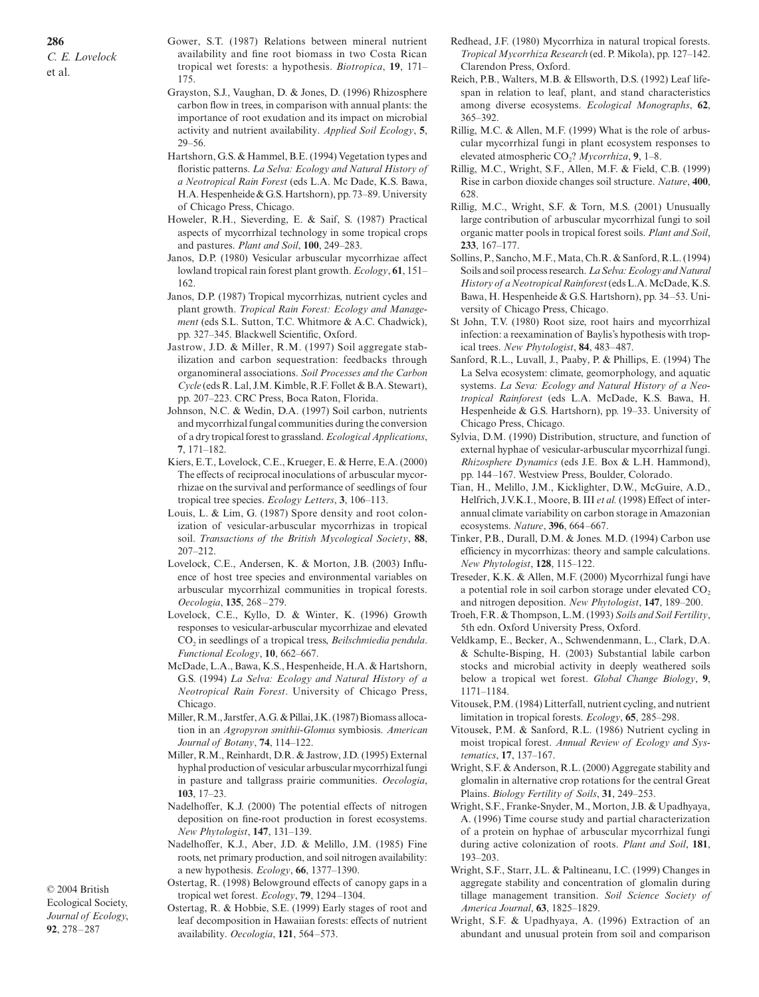**286** *C. E. Lovelock*  et al.

Gower, S.T. (1987) Relations between mineral nutrient availability and fine root biomass in two Costa Rican tropical wet forests: a hypothesis. *Biotropica*, **19**, 171– 175.

- Grayston, S.J., Vaughan, D. & Jones, D. (1996) Rhizosphere carbon flow in trees, in comparison with annual plants: the importance of root exudation and its impact on microbial activity and nutrient availability. *Applied Soil Ecology*, **5**, 29–56.
- Hartshorn, G.S. & Hammel, B.E. (1994) Vegetation types and floristic patterns. *La Selva: Ecology and Natural History of a Neotropical Rain Forest* (eds L.A. Mc Dade, K.S. Bawa, H.A. Hespenheide & G.S. Hartshorn), pp. 73–89. University of Chicago Press, Chicago.
- Howeler, R.H., Sieverding, E. & Saif, S. (1987) Practical aspects of mycorrhizal technology in some tropical crops and pastures. *Plant and Soil*, **100**, 249–283.
- Janos, D.P. (1980) Vesicular arbuscular mycorrhizae affect lowland tropical rain forest plant growth. *Ecology*, **61**, 151– 162.
- Janos, D.P. (1987) Tropical mycorrhizas, nutrient cycles and plant growth. *Tropical Rain Forest: Ecology and Management* (eds S.L. Sutton, T.C. Whitmore & A.C. Chadwick), pp. 327–345. Blackwell Scientific, Oxford.
- Jastrow, J.D. & Miller, R.M. (1997) Soil aggregate stabilization and carbon sequestration: feedbacks through organomineral associations. *Soil Processes and the Carbon Cycle* (eds R. Lal, J.M. Kimble, R.F. Follet & B.A. Stewart), pp. 207–223. CRC Press, Boca Raton, Florida.
- Johnson, N.C. & Wedin, D.A. (1997) Soil carbon, nutrients and mycorrhizal fungal communities during the conversion of a dry tropical forest to grassland. *Ecological Applications*, **7**, 171–182.
- Kiers, E.T., Lovelock, C.E., Krueger, E. & Herre, E.A. (2000) The effects of reciprocal inoculations of arbuscular mycorrhizae on the survival and performance of seedlings of four tropical tree species. *Ecology Letters*, **3**, 106–113.
- Louis, L. & Lim, G. (1987) Spore density and root colonization of vesicular-arbuscular mycorrhizas in tropical soil. *Transactions of the British Mycological Society*, **88**, 207–212.
- Lovelock, C.E., Andersen, K. & Morton, J.B. (2003) Influence of host tree species and environmental variables on arbuscular mycorrhizal communities in tropical forests. *Oecologia*, **135**, 268–279.
- Lovelock, C.E., Kyllo, D. & Winter, K. (1996) Growth responses to vesicular-arbuscular mycorrhizae and elevated CO2 in seedlings of a tropical tress, *Beilschmiedia pendula*. *Functional Ecology*, **10**, 662–667.
- McDade, L.A., Bawa, K.S., Hespenheide, H.A. & Hartshorn, G.S. (1994) *La Selva: Ecology and Natural History of a Neotropical Rain Forest*. University of Chicago Press, Chicago.
- Miller, R.M., Jarstfer, A.G. & Pillai, J.K. (1987) Biomass allocation in an *Agropyron smithii-Glomus* symbiosis. *American Journal of Botany*, **74**, 114–122.
- Miller, R.M., Reinhardt, D.R. & Jastrow, J.D. (1995) External hyphal production of vesicular arbuscular mycorrhizal fungi in pasture and tallgrass prairie communities. *Oecologia*, **103**, 17–23.
- Nadelhoffer, K.J. (2000) The potential effects of nitrogen deposition on fine-root production in forest ecosystems. *New Phytologist*, **147**, 131–139.
- Nadelhoffer, K.J., Aber, J.D. & Melillo, J.M. (1985) Fine roots, net primary production, and soil nitrogen availability: a new hypothesis. *Ecology*, **66**, 1377–1390.
- Ostertag, R. (1998) Belowground effects of canopy gaps in a tropical wet forest. *Ecology*, **79**, 1294–1304.
- Ostertag, R. & Hobbie, S.E. (1999) Early stages of root and leaf decomposition in Hawaiian forests: effects of nutrient availability. *Oecologia*, **121**, 564–573.
- Redhead, J.F. (1980) Mycorrhiza in natural tropical forests. *Tropical Mycorrhiza Research* (ed. P. Mikola), pp. 127–142. Clarendon Press, Oxford.
- Reich, P.B., Walters, M.B. & Ellsworth, D.S. (1992) Leaf lifespan in relation to leaf, plant, and stand characteristics among diverse ecosystems. *Ecological Monographs*, **62**, 365–392.
- Rillig, M.C. & Allen, M.F. (1999) What is the role of arbuscular mycorrhizal fungi in plant ecosystem responses to elevated atmospheric CO2? *Mycorrhiza*, **9**, 1–8.
- Rillig, M.C., Wright, S.F., Allen, M.F. & Field, C.B. (1999) Rise in carbon dioxide changes soil structure. *Nature*, **400**, 628.
- Rillig, M.C., Wright, S.F. & Torn, M.S. (2001) Unusually large contribution of arbuscular mycorrhizal fungi to soil organic matter pools in tropical forest soils. *Plant and Soil*, **233**, 167–177.
- Sollins, P., Sancho, M.F., Mata, Ch.R. & Sanford, R.L. (1994) Soils and soil process research. *La Selva: Ecology and Natural History of a Neotropical Rainforest*(eds L.A. McDade, K.S. Bawa, H. Hespenheide & G.S. Hartshorn), pp. 34–53. University of Chicago Press, Chicago.
- St John, T.V. (1980) Root size, root hairs and mycorrhizal infection: a reexamination of Baylis's hypothesis with tropical trees. *New Phytologist*, **84**, 483–487.
- Sanford, R.L., Luvall, J., Paaby, P. & Phillips, E. (1994) The La Selva ecosystem: climate, geomorphology, and aquatic systems. *La Seva: Ecology and Natural History of a Neotropical Rainforest* (eds L.A. McDade, K.S. Bawa, H. Hespenheide & G.S. Hartshorn), pp. 19–33. University of Chicago Press, Chicago.
- Sylvia, D.M. (1990) Distribution, structure, and function of external hyphae of vesicular-arbuscular mycorrhizal fungi. *Rhizosphere Dynamics* (eds J.E. Box & L.H. Hammond), pp. 144–167. Westview Press, Boulder, Colorado.
- Tian, H., Melillo, J.M., Kicklighter, D.W., McGuire, A.D., Helfrich, J.V.K.I., Moore, B. III *et al.* (1998) Effect of interannual climate variability on carbon storage in Amazonian ecosystems. *Nature*, **396**, 664–667.
- Tinker, P.B., Durall, D.M. & Jones. M.D. (1994) Carbon use efficiency in mycorrhizas: theory and sample calculations. *New Phytologist*, **128**, 115–122.
- Treseder, K.K. & Allen, M.F. (2000) Mycorrhizal fungi have a potential role in soil carbon storage under elevated  $CO<sub>2</sub>$ and nitrogen deposition. *New Phytologist*, **147**, 189–200.
- Troeh, F.R. & Thompson, L.M. (1993) *Soils and Soil Fertility*, 5th edn. Oxford University Press, Oxford.
- Veldkamp, E., Becker, A., Schwendenmann, L., Clark, D.A. & Schulte-Bisping, H. (2003) Substantial labile carbon stocks and microbial activity in deeply weathered soils below a tropical wet forest. *Global Change Biology*, **9**, 1171–1184.
- Vitousek, P.M. (1984) Litterfall, nutrient cycling, and nutrient limitation in tropical forests. *Ecology*, **65**, 285–298.
- Vitousek, P.M. & Sanford, R.L. (1986) Nutrient cycling in moist tropical forest. *Annual Review of Ecology and Systematics*, **17**, 137–167.
- Wright, S.F. & Anderson, R.L. (2000) Aggregate stability and glomalin in alternative crop rotations for the central Great Plains. *Biology Fertility of Soils*, **31**, 249–253.
- Wright, S.F., Franke-Snyder, M., Morton, J.B. & Upadhyaya, A. (1996) Time course study and partial characterization of a protein on hyphae of arbuscular mycorrhizal fungi during active colonization of roots. *Plant and Soil*, **181**, 193–203.
- Wright, S.F., Starr, J.L. & Paltineanu, I.C. (1999) Changes in aggregate stability and concentration of glomalin during tillage management transition. *Soil Science Society of America Journal*, **63**, 1825–1829.
- Wright, S.F. & Upadhyaya, A. (1996) Extraction of an abundant and unusual protein from soil and comparison